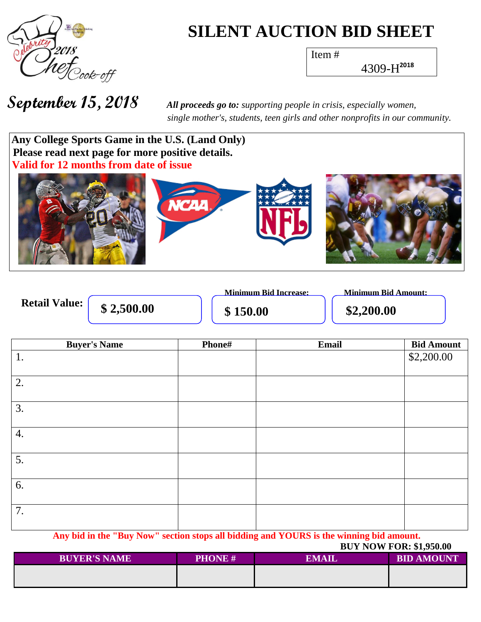

## **SILENT AUCTION BID SHEET**

Item #

4309-H **2018**

 *single mother's, students, teen girls and other nonprofits in our community.*



|                      |            | <b>Minimum Bid Increase:</b> | Minimum Bid Amount: |
|----------------------|------------|------------------------------|---------------------|
| <b>Retail Value:</b> | \$2,500.00 | \$150.00                     | \$2,200.00          |

| <b>Buyer's Name</b> | Phone# | Email | <b>Bid Amount</b> |
|---------------------|--------|-------|-------------------|
| 1.                  |        |       | \$2,200.00        |
|                     |        |       |                   |
| 2.                  |        |       |                   |
|                     |        |       |                   |
| 3.                  |        |       |                   |
|                     |        |       |                   |
| 4.                  |        |       |                   |
|                     |        |       |                   |
| 5.                  |        |       |                   |
|                     |        |       |                   |
| 6.                  |        |       |                   |
|                     |        |       |                   |
| 7.                  |        |       |                   |
|                     |        |       |                   |

**Any bid in the "Buy Now" section stops all bidding and YOURS is the winning bid amount.**  $RUV$  NOW FOR $\cdot$  \$1,950.00

|                     |               | <b>DUITON FOR.</b> \$1,730.00 |                   |  |
|---------------------|---------------|-------------------------------|-------------------|--|
| <b>BUYER'S NAME</b> | <b>PHONE#</b> | <b>EMAIL</b>                  | <b>BID AMOUNT</b> |  |
|                     |               |                               |                   |  |
|                     |               |                               |                   |  |